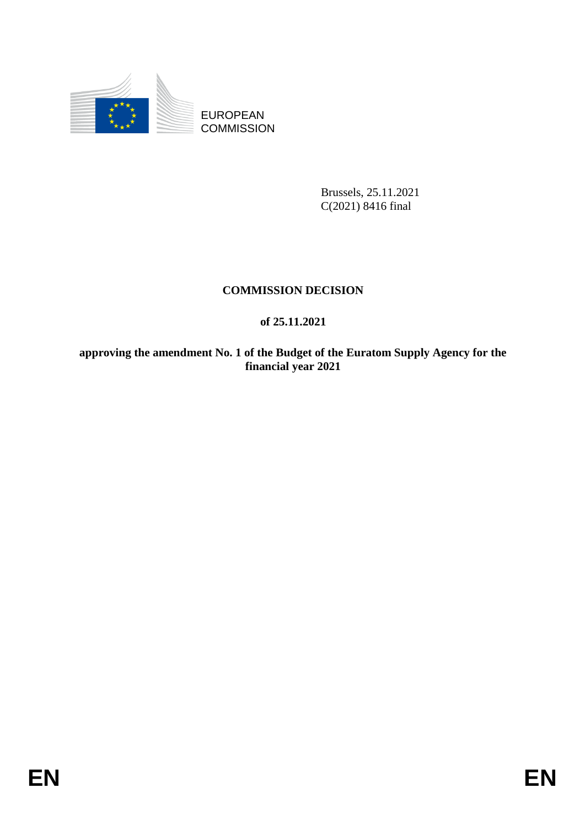

EUROPEAN **COMMISSION** 

> Brussels, 25.11.2021 C(2021) 8416 final

#### **COMMISSION DECISION**

#### **of 25.11.2021**

**approving the amendment No. 1 of the Budget of the Euratom Supply Agency for the financial year 2021**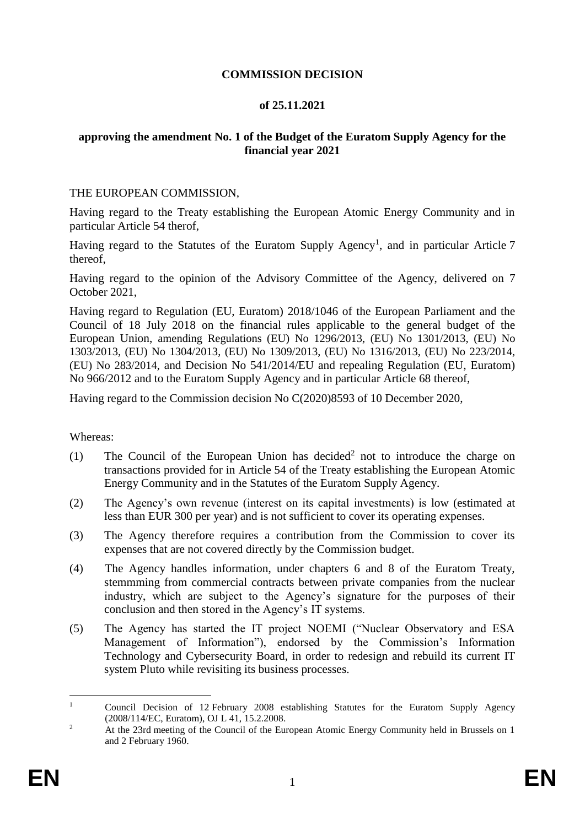#### **COMMISSION DECISION**

#### **of 25.11.2021**

#### **approving the amendment No. 1 of the Budget of the Euratom Supply Agency for the financial year 2021**

#### THE EUROPEAN COMMISSION,

Having regard to the Treaty establishing the European Atomic Energy Community and in particular Article 54 therof,

Having regard to the Statutes of the Euratom Supply Agency<sup>1</sup>, and in particular Article 7 thereof,

Having regard to the opinion of the Advisory Committee of the Agency, delivered on 7 October 2021,

Having regard to Regulation (EU, Euratom) 2018/1046 of the European Parliament and the Council of 18 July 2018 on the financial rules applicable to the general budget of the European Union, amending Regulations (EU) No 1296/2013, (EU) No 1301/2013, (EU) No 1303/2013, (EU) No 1304/2013, (EU) No 1309/2013, (EU) No 1316/2013, (EU) No 223/2014, (EU) No 283/2014, and Decision No 541/2014/EU and repealing Regulation (EU, Euratom) No 966/2012 and to the Euratom Supply Agency and in particular Article 68 thereof,

Having regard to the Commission decision No C(2020)8593 of 10 December 2020,

#### Whereas:

- (1) The Council of the European Union has decided<sup>2</sup> not to introduce the charge on transactions provided for in Article 54 of the Treaty establishing the European Atomic Energy Community and in the Statutes of the Euratom Supply Agency.
- (2) The Agency's own revenue (interest on its capital investments) is low (estimated at less than EUR 300 per year) and is not sufficient to cover its operating expenses.
- (3) The Agency therefore requires a contribution from the Commission to cover its expenses that are not covered directly by the Commission budget.
- (4) The Agency handles information, under chapters 6 and 8 of the Euratom Treaty, stemmming from commercial contracts between private companies from the nuclear industry, which are subject to the Agency's signature for the purposes of their conclusion and then stored in the Agency's IT systems.
- (5) The Agency has started the IT project NOEMI ("Nuclear Observatory and ESA Management of Information"), endorsed by the Commission's Information Technology and Cybersecurity Board, in order to redesign and rebuild its current IT system Pluto while revisiting its business processes.

 $\mathbf{1}$ <sup>1</sup> Council Decision of 12 February 2008 establishing Statutes for the Euratom Supply Agency (2008/114/EC, Euratom), OJ L 41, 15.2.2008.

<sup>&</sup>lt;sup>2</sup> At the 23rd meeting of the Council of the European Atomic Energy Community held in Brussels on 1 and 2 February 1960.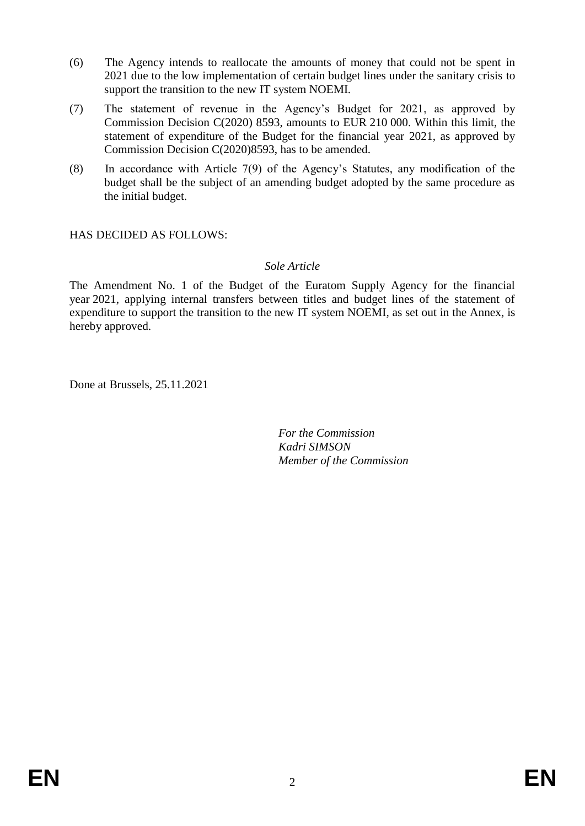- (6) The Agency intends to reallocate the amounts of money that could not be spent in 2021 due to the low implementation of certain budget lines under the sanitary crisis to support the transition to the new IT system NOEMI.
- (7) The statement of revenue in the Agency's Budget for 2021, as approved by Commission Decision C(2020) 8593, amounts to EUR 210 000. Within this limit, the statement of expenditure of the Budget for the financial year 2021, as approved by Commission Decision C(2020)8593, has to be amended.
- (8) In accordance with Article 7(9) of the Agency's Statutes, any modification of the budget shall be the subject of an amending budget adopted by the same procedure as the initial budget.

HAS DECIDED AS FOLLOWS:

#### *Sole Article*

The Amendment No. 1 of the Budget of the Euratom Supply Agency for the financial year 2021, applying internal transfers between titles and budget lines of the statement of expenditure to support the transition to the new IT system NOEMI, as set out in the Annex, is hereby approved.

Done at Brussels, 25.11.2021

*For the Commission Kadri SIMSON Member of the Commission*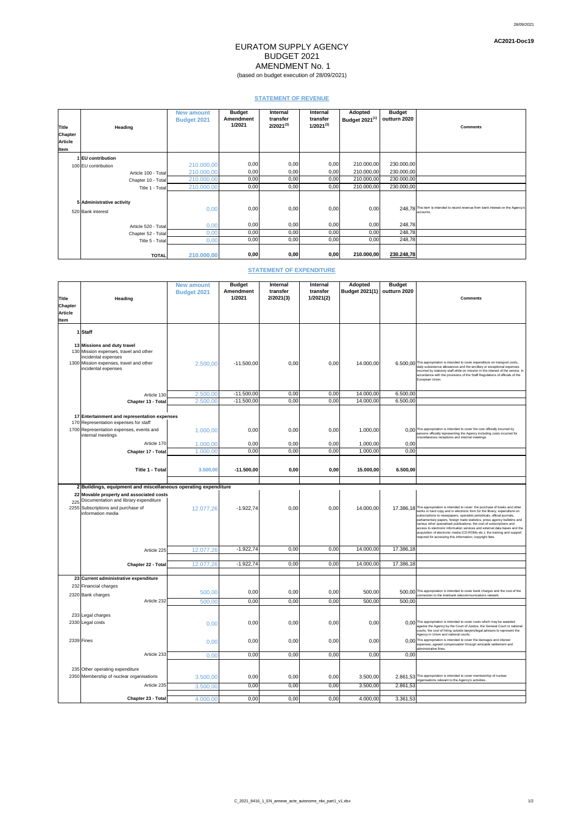## EURATOM SUPPLY AGENCY BUDGET 2021 AMENDMENT No. 1 (based on budget execution of 28/09/2021)

28/09/2021

**AC2021-Doc19**

## **STATEMENT OF REVENUE**

| Title<br><b>Chapter</b> | <b>Heading</b>                                 | <b>New amount</b><br><b>Budget 2021</b> | <b>Budget</b><br><b>Amendment</b><br>1/2021 | <b>Internal</b><br>transfer<br>$2/2021^{(3)}$ | <b>Internal</b><br>transfer<br>$1/2021^{(2)}$ | <b>Adopted</b><br>Budget 2021 <sup>(1)</sup> | <b>Budget</b><br>outturn 2020 | <b>Comments</b>                                                                                |
|-------------------------|------------------------------------------------|-----------------------------------------|---------------------------------------------|-----------------------------------------------|-----------------------------------------------|----------------------------------------------|-------------------------------|------------------------------------------------------------------------------------------------|
| <b>Article</b>          |                                                |                                         |                                             |                                               |                                               |                                              |                               |                                                                                                |
| Item                    |                                                |                                         |                                             |                                               |                                               |                                              |                               |                                                                                                |
|                         | 1 EU contribution<br>100 EU contribution       | 210.000,00                              | 0,00                                        | 0,00                                          | 0,00                                          | 210.000,00                                   | 230.000,00                    |                                                                                                |
|                         | Article 100 - Total                            | 210.000,00                              | 0,00                                        | 0,00                                          | 0,00                                          | 210.000,00                                   | 230.000,00                    |                                                                                                |
|                         | Chapter 10 - Total                             | 210.000,00                              | 0,00                                        | 0,00                                          | 0,00                                          | 210.000,00                                   | 230.000,00                    |                                                                                                |
|                         | Title 1 - Total                                | 210.000,00                              | 0,00                                        | 0,00                                          | 0,00                                          | 210.000,00                                   | 230.000,00                    |                                                                                                |
|                         | 5 Administrative activity<br>520 Bank interest | 0,00                                    | 0,00                                        | 0,00                                          | 0,00                                          | 0,00                                         |                               | 248,78 This item is intended to record revenue from bank interest on the Agency's<br>accounts. |
|                         | Article 520 - Total                            | 0,00                                    | 0,00                                        | 0,00                                          | 0,00                                          | 0,00                                         | 248,78                        |                                                                                                |
|                         | Chapter 52 - Total                             | 0,00                                    | 0,00                                        | 0,00                                          | 0,00                                          | 0,00                                         | 248,78                        |                                                                                                |
|                         | Title 5 - Total                                | 0,00                                    | 0,00                                        | 0,00                                          | 0,00                                          | 0,00                                         | 248,78                        |                                                                                                |
|                         | <b>TOTAL</b>                                   | 210.000,00                              | 0,00                                        | 0,00                                          | 0,00                                          | 210.000,00                                   | 230.248,78                    |                                                                                                |

## **STATEMENT OF EXPENDITURE**

|                |                                                                | <b>New amount</b>  | <b>Budget</b>    | <b>Internal</b> | <b>Internal</b> | <b>Adopted</b>        | <b>Budget</b> |                                                                                                                                                                 |
|----------------|----------------------------------------------------------------|--------------------|------------------|-----------------|-----------------|-----------------------|---------------|-----------------------------------------------------------------------------------------------------------------------------------------------------------------|
|                |                                                                | <b>Budget 2021</b> | <b>Amendment</b> | transfer        | transfer        | <b>Budget 2021(1)</b> | outturn 2020  |                                                                                                                                                                 |
| <b>Title</b>   | <b>Heading</b>                                                 |                    | 1/2021           | 2/2021(3)       | 1/2021(2)       |                       |               | <b>Comments</b>                                                                                                                                                 |
| <b>Chapter</b> |                                                                |                    |                  |                 |                 |                       |               |                                                                                                                                                                 |
| <b>Article</b> |                                                                |                    |                  |                 |                 |                       |               |                                                                                                                                                                 |
| Item           |                                                                |                    |                  |                 |                 |                       |               |                                                                                                                                                                 |
|                |                                                                |                    |                  |                 |                 |                       |               |                                                                                                                                                                 |
|                | 1 Staff                                                        |                    |                  |                 |                 |                       |               |                                                                                                                                                                 |
|                |                                                                |                    |                  |                 |                 |                       |               |                                                                                                                                                                 |
|                | 13 Missions and duty travel                                    |                    |                  |                 |                 |                       |               |                                                                                                                                                                 |
|                | 130 Mission expenses, travel and other<br>incidental expenses  |                    |                  |                 |                 |                       |               |                                                                                                                                                                 |
|                | 1300 Mission expenses, travel and other                        | 2.500,00           | $-11.500,00$     | 0,00            | 0,00            | 14.000,00             |               | 6.500,00 This appropriation is intended to cover expenditure on transport costs,                                                                                |
|                | incidental expenses                                            |                    |                  |                 |                 |                       |               | daily subsistence allowances and the ancillary or exceptional expenses<br>incurred by statutory staff while on mission in the interest of the service, in       |
|                |                                                                |                    |                  |                 |                 |                       |               | accordance with the provisions of the Staff Regulations of officials of the                                                                                     |
|                |                                                                |                    |                  |                 |                 |                       |               | European Union.                                                                                                                                                 |
|                |                                                                |                    |                  |                 |                 |                       |               |                                                                                                                                                                 |
|                | Article 130                                                    | 2.500,00           | $-11.500,00$     | 0,00            | 0,00            | 14.000,00             | 6.500,00      |                                                                                                                                                                 |
|                | Chapter 13 - Total                                             | 2.500,00           | $-11.500,00$     | 0,00            | 0,00            | 14.000,00             | 6.500,00      |                                                                                                                                                                 |
|                |                                                                |                    |                  |                 |                 |                       |               |                                                                                                                                                                 |
|                | 17 Entertainment and representation expenses                   |                    |                  |                 |                 |                       |               |                                                                                                                                                                 |
|                | 170 Representation expenses for staff                          |                    |                  |                 |                 |                       |               |                                                                                                                                                                 |
|                | 1700 Representation expenses, events and                       | 1.000,00           | 0,00             | 0,00            | 0,00            | 1.000,00              |               | 0,00 This appropriation is intended to cover the cost officially incurred by<br>persons officially representing the Agency including costs incurred for         |
|                | internal meetings                                              |                    |                  |                 |                 |                       |               | miscellaneous receptions and internal meetings.                                                                                                                 |
|                | Article 170                                                    | 1.000,00           | 0,00             | 0,00            | 0,00            | 1.000,00              | 0,00          |                                                                                                                                                                 |
|                | <b>Chapter 17 - Total</b>                                      | 1.000,00           | 0,00             | 0,00            | 0,00            | 1.000,00              | 0,00          |                                                                                                                                                                 |
|                |                                                                |                    |                  |                 |                 |                       |               |                                                                                                                                                                 |
|                | Title 1 - Total                                                | 3.500,00           | $-11.500,00$     | 0,00            | 0,00            | 15.000,00             | 6.500,00      |                                                                                                                                                                 |
|                |                                                                |                    |                  |                 |                 |                       |               |                                                                                                                                                                 |
|                |                                                                |                    |                  |                 |                 |                       |               |                                                                                                                                                                 |
|                | 2 Buildings, equipment and miscellaneous operating expenditure |                    |                  |                 |                 |                       |               |                                                                                                                                                                 |
|                | 22 Movable property and associated costs                       |                    |                  |                 |                 |                       |               |                                                                                                                                                                 |
|                | 225 Documentation and library expenditure                      |                    |                  |                 |                 |                       |               |                                                                                                                                                                 |
|                | 2255 Subscriptions and purchase of<br>information media        | 12.077,26          | $-1.922,74$      | 0,00            | 0,00            | 14.000,00             |               | 17.386,18 This appropriation is intended to cover: the purchase of books and other<br>works in hard copy and in electronic form for the library; expenditure on |
|                |                                                                |                    |                  |                 |                 |                       |               | subscriptions to newspapers, specialist periodicals, official journals,<br>parliamentary papers, foreign trade statistics, press agency bulletins and           |
|                |                                                                |                    |                  |                 |                 |                       |               | various other specialised publications; the cost of subscriptions and                                                                                           |
|                |                                                                |                    |                  |                 |                 |                       |               | access to electronic information services and external data bases and the<br>acquisition of electronic media (CD-ROMs etc.); the training and support           |
|                |                                                                |                    |                  |                 |                 |                       |               | required for accessing this information; copyright fees.                                                                                                        |
|                |                                                                |                    |                  |                 |                 |                       |               |                                                                                                                                                                 |
|                | Article 225                                                    | 12.077,26          | $-1.922,74$      | 0,00            | 0,00            | 14.000,00             | 17.386,18     |                                                                                                                                                                 |
|                |                                                                |                    |                  |                 |                 |                       |               |                                                                                                                                                                 |
|                | Chapter 22 - Total                                             | 12.077,26          | $-1.922,74$      | 0,00            | 0,00            | 14.000,00             | 17.386,18     |                                                                                                                                                                 |
|                |                                                                |                    |                  |                 |                 |                       |               |                                                                                                                                                                 |
|                | 23 Current administrative expenditure                          |                    |                  |                 |                 |                       |               |                                                                                                                                                                 |
|                | 232 Financial charges                                          | 500,00             | 0,00             | 0,00            | 0,00            | 500,00                |               | 500,00 This appropriation is intended to cover bank charges and the cost of the                                                                                 |
|                | 2320 Bank charges                                              |                    |                  |                 |                 |                       |               | connection to the interbank telecommunications network.                                                                                                         |
|                | Article 232                                                    | 500,00             | 0,00             | 0,00            | 0,00            | 500,00                | 500,00        |                                                                                                                                                                 |
|                |                                                                |                    |                  |                 |                 |                       |               |                                                                                                                                                                 |
|                | 233 Legal charges                                              |                    |                  |                 |                 |                       |               |                                                                                                                                                                 |
|                | 2330 Legal costs                                               | 0,00               | 0,00             | 0,00            | 0,00            | 0,00                  |               | 0,00 This appropriation is intended to cover costs which may be awarded<br>against the Agency by the Court of Justice, the General Court or national            |
|                |                                                                |                    |                  |                 |                 |                       |               | courts, the cost of hiring outside lawyers/legal advisers to represent the<br>Agency in Union and national courts.                                              |
|                | 2339 Fines                                                     | 0,00               | 0,00             | 0,00            | 0,00            | 0,00                  |               | 0.00 This appropriation is intended to cover the damages and interest                                                                                           |
|                |                                                                |                    |                  |                 |                 |                       |               | expenses, agreed compensation through amicable settlement and<br>administrative fines.                                                                          |
|                | Article 233                                                    | 0,00               | 0,00             | 0,00            | 0,00            | 0,00                  | 0,00          |                                                                                                                                                                 |
|                |                                                                |                    |                  |                 |                 |                       |               |                                                                                                                                                                 |
|                | 235 Other operating expenditure                                |                    |                  |                 |                 |                       |               |                                                                                                                                                                 |
|                | 2350 Membership of nuclear organisations                       | 3.500,00           | 0,00             | 0,00            | 0,00            | 3.500,00              |               | 2.861,53 This appropriation is intended to cover membership of nuclear<br>organisations relevant to the Agency's activities.                                    |
|                | Article 235                                                    |                    | 0,00             | 0,00            | 0,00            | 3.500,00              | 2.861,53      |                                                                                                                                                                 |
|                |                                                                | 3.500,00           |                  |                 |                 |                       |               |                                                                                                                                                                 |
|                | Chapter 23 - Total                                             | 4.000,00           | 0,00             | 0,00            | 0,00            | 4.000,00              | 3.361,53      |                                                                                                                                                                 |

#### C\_2021\_8416\_1\_EN\_annexe\_acte\_autonome\_nlw\_part1\_v1.xlsx 1/2